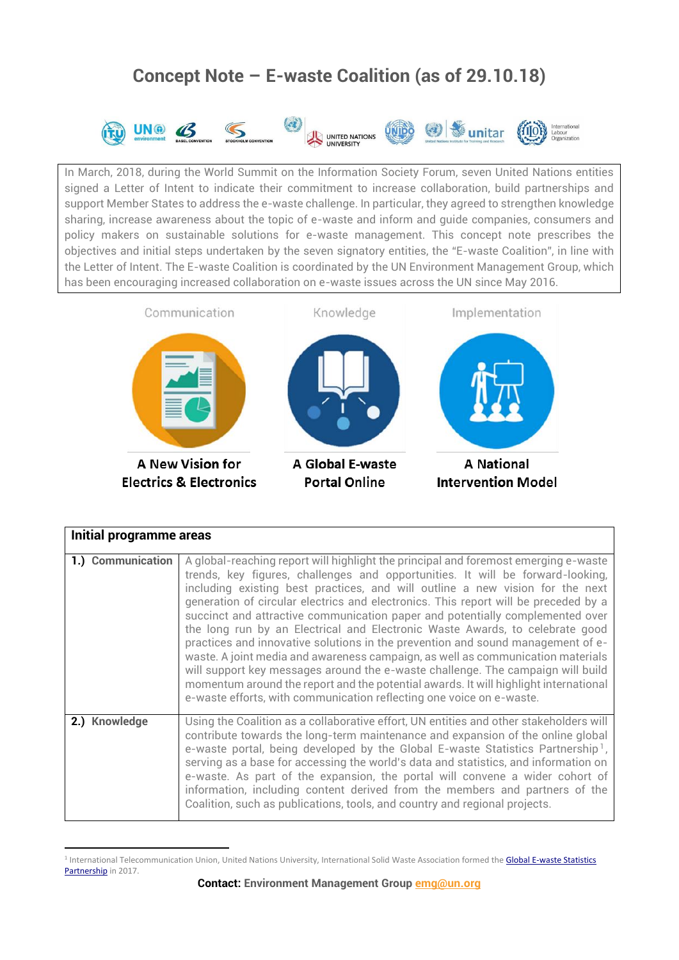# **Concept Note – E-waste Coalition (as of 29.10.18)**



In March, 2018, during the World Summit on the Information Society Forum, seven United Nations entities signed a Letter of Intent to indicate their commitment to increase collaboration, build partnerships and support Member States to address the e-waste challenge. In particular, they agreed to strengthen knowledge sharing, increase awareness about the topic of e-waste and inform and guide companies, consumers and policy makers on sustainable solutions for e-waste management. This concept note prescribes the objectives and initial steps undertaken by the seven signatory entities, the "E-waste Coalition", in line with the Letter of Intent. The E-waste Coalition is coordinated by the UN Environment Management Group, which has been encouraging increased collaboration on e-waste issues across the UN since May 2016.



| Initial programme areas |                                                                                                                                                                                                                                                                                                                                                                                                                                                                                                                                                                                                                                                                                                                                                                                                                                                                                                                                         |
|-------------------------|-----------------------------------------------------------------------------------------------------------------------------------------------------------------------------------------------------------------------------------------------------------------------------------------------------------------------------------------------------------------------------------------------------------------------------------------------------------------------------------------------------------------------------------------------------------------------------------------------------------------------------------------------------------------------------------------------------------------------------------------------------------------------------------------------------------------------------------------------------------------------------------------------------------------------------------------|
| 1.) Communication       | A global-reaching report will highlight the principal and foremost emerging e-waste<br>trends, key figures, challenges and opportunities. It will be forward-looking,<br>including existing best practices, and will outline a new vision for the next<br>generation of circular electrics and electronics. This report will be preceded by a<br>succinct and attractive communication paper and potentially complemented over<br>the long run by an Electrical and Electronic Waste Awards, to celebrate good<br>practices and innovative solutions in the prevention and sound management of e-<br>waste. A joint media and awareness campaign, as well as communication materials<br>will support key messages around the e-waste challenge. The campaign will build<br>momentum around the report and the potential awards. It will highlight international<br>e-waste efforts, with communication reflecting one voice on e-waste. |
| 2.) Knowledge           | Using the Coalition as a collaborative effort, UN entities and other stakeholders will<br>contribute towards the long-term maintenance and expansion of the online global<br>e-waste portal, being developed by the Global E-waste Statistics Partnership <sup>1</sup> ,<br>serving as a base for accessing the world's data and statistics, and information on<br>e-waste. As part of the expansion, the portal will convene a wider cohort of<br>information, including content derived from the members and partners of the<br>Coalition, such as publications, tools, and country and regional projects.                                                                                                                                                                                                                                                                                                                            |

**<sup>.</sup>** <sup>1</sup> International Telecommunication Union, United Nations University, International Solid Waste Association formed the Global E-waste Statistics [Partnership](https://www.itu.int/en/ITU-D/Climate-Change/Pages/ewaste/globalewastestatisticspartnership.aspx) in 2017.

**Contact: Environment Management Group [emg@un.org](mailto:emg@un.org)**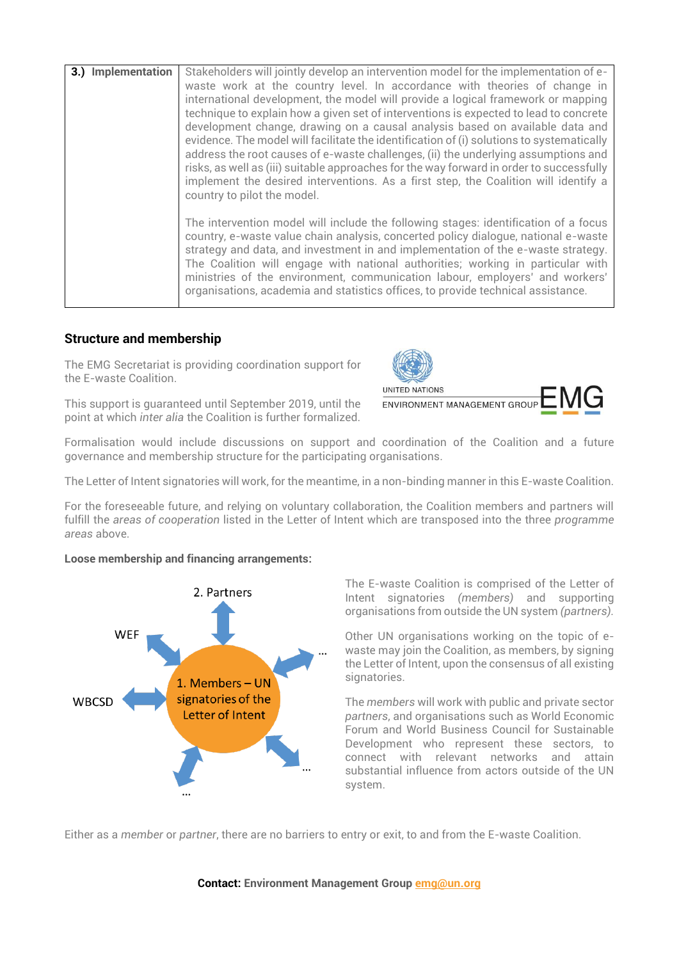| 3.) Implementation | Stakeholders will jointly develop an intervention model for the implementation of e-<br>waste work at the country level. In accordance with theories of change in<br>international development, the model will provide a logical framework or mapping<br>technique to explain how a given set of interventions is expected to lead to concrete<br>development change, drawing on a causal analysis based on available data and<br>evidence. The model will facilitate the identification of (i) solutions to systematically<br>address the root causes of e-waste challenges, (ii) the underlying assumptions and<br>risks, as well as (iii) suitable approaches for the way forward in order to successfully<br>implement the desired interventions. As a first step, the Coalition will identify a |
|--------------------|------------------------------------------------------------------------------------------------------------------------------------------------------------------------------------------------------------------------------------------------------------------------------------------------------------------------------------------------------------------------------------------------------------------------------------------------------------------------------------------------------------------------------------------------------------------------------------------------------------------------------------------------------------------------------------------------------------------------------------------------------------------------------------------------------|
|                    | country to pilot the model.<br>The intervention model will include the following stages: identification of a focus<br>country, e-waste value chain analysis, concerted policy dialogue, national e-waste<br>strategy and data, and investment in and implementation of the e-waste strategy.<br>The Coalition will engage with national authorities; working in particular with<br>ministries of the environment, communication labour, employers' and workers'<br>organisations, academia and statistics offices, to provide technical assistance.                                                                                                                                                                                                                                                  |

## **Structure and membership**

The EMG Secretariat is providing coordination support for the E-waste Coalition.

This support is guaranteed until September 2019, until the point at which *inter alia* the Coalition is further formalized.



Formalisation would include discussions on support and coordination of the Coalition and a future governance and membership structure for the participating organisations.

The Letter of Intent signatories will work, for the meantime, in a non-binding manner in this E-waste Coalition.

For the foreseeable future, and relying on voluntary collaboration, the Coalition members and partners will fulfill the *areas of cooperation* listed in the Letter of Intent which are transposed into the three *programme areas* above.

### **Loose membership and financing arrangements:**



The E-waste Coalition is comprised of the Letter of Intent signatories *(members)* and supporting organisations from outside the UN system *(partners).*

Other UN organisations working on the topic of ewaste may join the Coalition, as members, by signing the Letter of Intent, upon the consensus of all existing signatories.

The *members* will work with public and private sector *partners*, and organisations such as World Economic Forum and World Business Council for Sustainable Development who represent these sectors, to connect with relevant networks and attain substantial influence from actors outside of the UN system.

Either as a *member* or *partner*, there are no barriers to entry or exit, to and from the E-waste Coalition.

### **Contact: Environment Management Group [emg@un.org](mailto:emg@un.org)**